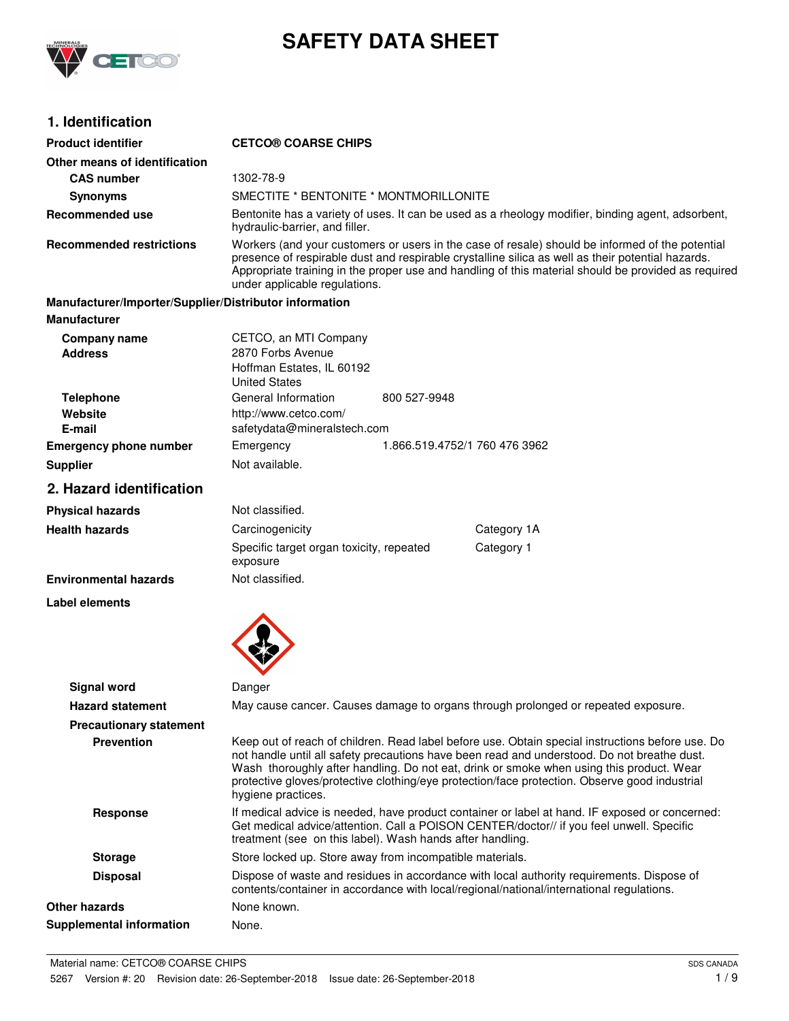

# **SAFETY DATA SHEET**

## **1. Identification**

| <b>Product identifier</b>                              | <b>CETCO® COARSE CHIPS</b>                                                                      |                                                                                                                                                                                                                                                                                                                                                                                              |
|--------------------------------------------------------|-------------------------------------------------------------------------------------------------|----------------------------------------------------------------------------------------------------------------------------------------------------------------------------------------------------------------------------------------------------------------------------------------------------------------------------------------------------------------------------------------------|
| Other means of identification                          |                                                                                                 |                                                                                                                                                                                                                                                                                                                                                                                              |
| <b>CAS number</b>                                      | 1302-78-9                                                                                       |                                                                                                                                                                                                                                                                                                                                                                                              |
| <b>Synonyms</b>                                        | SMECTITE * BENTONITE * MONTMORILLONITE                                                          |                                                                                                                                                                                                                                                                                                                                                                                              |
| <b>Recommended use</b>                                 | hydraulic-barrier, and filler.                                                                  | Bentonite has a variety of uses. It can be used as a rheology modifier, binding agent, adsorbent,                                                                                                                                                                                                                                                                                            |
| <b>Recommended restrictions</b>                        | under applicable regulations.                                                                   | Workers (and your customers or users in the case of resale) should be informed of the potential<br>presence of respirable dust and respirable crystalline silica as well as their potential hazards.<br>Appropriate training in the proper use and handling of this material should be provided as required                                                                                  |
| Manufacturer/Importer/Supplier/Distributor information |                                                                                                 |                                                                                                                                                                                                                                                                                                                                                                                              |
| <b>Manufacturer</b>                                    |                                                                                                 |                                                                                                                                                                                                                                                                                                                                                                                              |
| <b>Company name</b><br><b>Address</b>                  | CETCO, an MTI Company<br>2870 Forbs Avenue<br>Hoffman Estates, IL 60192<br><b>United States</b> |                                                                                                                                                                                                                                                                                                                                                                                              |
| <b>Telephone</b>                                       | General Information                                                                             | 800 527-9948                                                                                                                                                                                                                                                                                                                                                                                 |
| Website                                                | http://www.cetco.com/                                                                           |                                                                                                                                                                                                                                                                                                                                                                                              |
| E-mail                                                 | safetydata@mineralstech.com                                                                     |                                                                                                                                                                                                                                                                                                                                                                                              |
| <b>Emergency phone number</b>                          | Emergency                                                                                       | 1.866.519.4752/1 760 476 3962                                                                                                                                                                                                                                                                                                                                                                |
| <b>Supplier</b>                                        | Not available.                                                                                  |                                                                                                                                                                                                                                                                                                                                                                                              |
| 2. Hazard identification                               |                                                                                                 |                                                                                                                                                                                                                                                                                                                                                                                              |
| <b>Physical hazards</b>                                | Not classified.                                                                                 |                                                                                                                                                                                                                                                                                                                                                                                              |
| <b>Health hazards</b>                                  | Carcinogenicity                                                                                 | Category 1A                                                                                                                                                                                                                                                                                                                                                                                  |
|                                                        | Specific target organ toxicity, repeated<br>exposure                                            | Category 1                                                                                                                                                                                                                                                                                                                                                                                   |
| <b>Environmental hazards</b>                           | Not classified.                                                                                 |                                                                                                                                                                                                                                                                                                                                                                                              |
| Label elements                                         |                                                                                                 |                                                                                                                                                                                                                                                                                                                                                                                              |
|                                                        |                                                                                                 |                                                                                                                                                                                                                                                                                                                                                                                              |
| <b>Signal word</b>                                     | Danger                                                                                          |                                                                                                                                                                                                                                                                                                                                                                                              |
| <b>Hazard statement</b>                                |                                                                                                 | May cause cancer. Causes damage to organs through prolonged or repeated exposure.                                                                                                                                                                                                                                                                                                            |
| <b>Precautionary statement</b>                         |                                                                                                 |                                                                                                                                                                                                                                                                                                                                                                                              |
| <b>Prevention</b>                                      | hygiene practices.                                                                              | Keep out of reach of children. Read label before use. Obtain special instructions before use. Do<br>not handle until all safety precautions have been read and understood. Do not breathe dust.<br>Wash thoroughly after handling. Do not eat, drink or smoke when using this product. Wear<br>protective gloves/protective clothing/eye protection/face protection. Observe good industrial |
| <b>Response</b>                                        |                                                                                                 | If medical advice is needed, have product container or label at hand. IF exposed or concerned:<br>Get medical advice/attention. Call a POISON CENTER/doctor// if you feel unwell. Specific<br>treatment (see on this label). Wash hands after handling.                                                                                                                                      |
| <b>Storage</b>                                         |                                                                                                 | Store locked up. Store away from incompatible materials.                                                                                                                                                                                                                                                                                                                                     |
| <b>Disposal</b>                                        |                                                                                                 | Dispose of waste and residues in accordance with local authority requirements. Dispose of<br>contents/container in accordance with local/regional/national/international regulations.                                                                                                                                                                                                        |
| <b>Other hazards</b>                                   | None known.                                                                                     |                                                                                                                                                                                                                                                                                                                                                                                              |
| <b>Supplemental information</b>                        | None.                                                                                           |                                                                                                                                                                                                                                                                                                                                                                                              |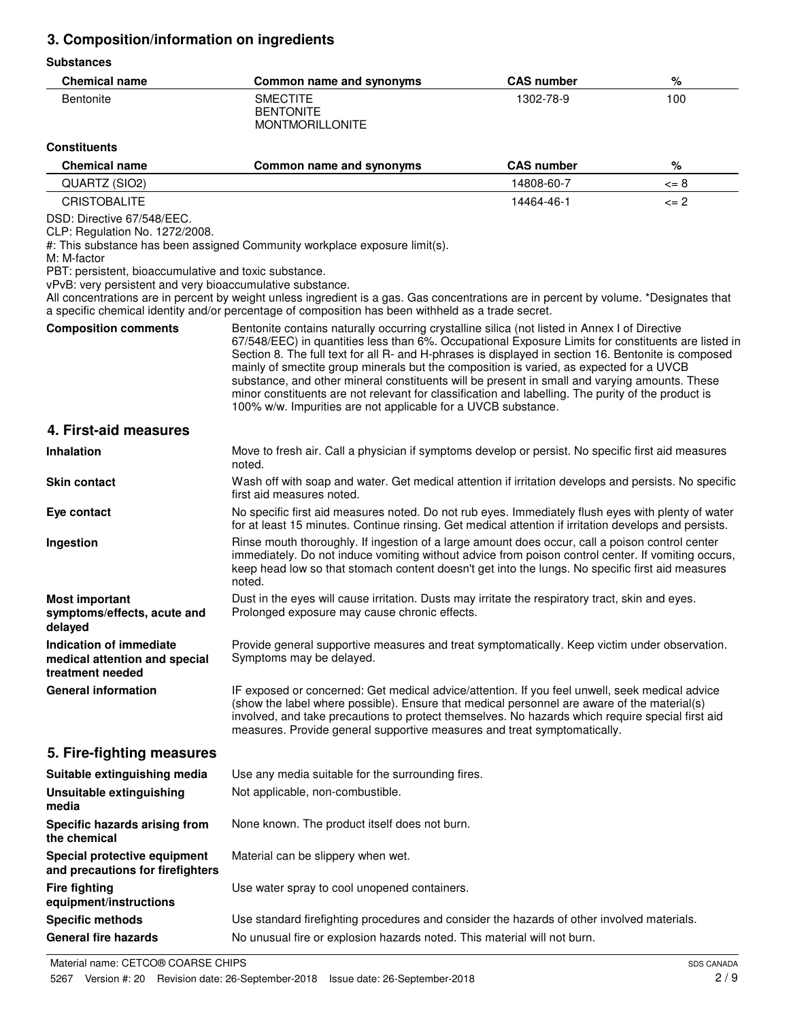## **3. Composition/information on ingredients**

## **Substances**

| <b>SUDSMITTES</b>                                                                                                                                                                                 |                                                                                                                                                                                                                                                                                                                                                                                                                                                                                                                                                                                                                                                                                |                   |                  |
|---------------------------------------------------------------------------------------------------------------------------------------------------------------------------------------------------|--------------------------------------------------------------------------------------------------------------------------------------------------------------------------------------------------------------------------------------------------------------------------------------------------------------------------------------------------------------------------------------------------------------------------------------------------------------------------------------------------------------------------------------------------------------------------------------------------------------------------------------------------------------------------------|-------------------|------------------|
| <b>Chemical name</b>                                                                                                                                                                              | Common name and synonyms                                                                                                                                                                                                                                                                                                                                                                                                                                                                                                                                                                                                                                                       | <b>CAS number</b> | %                |
| Bentonite                                                                                                                                                                                         | <b>SMECTITE</b><br><b>BENTONITE</b><br><b>MONTMORILLONITE</b>                                                                                                                                                                                                                                                                                                                                                                                                                                                                                                                                                                                                                  | 1302-78-9         | 100              |
| <b>Constituents</b>                                                                                                                                                                               |                                                                                                                                                                                                                                                                                                                                                                                                                                                                                                                                                                                                                                                                                |                   |                  |
| <b>Chemical name</b>                                                                                                                                                                              | Common name and synonyms                                                                                                                                                                                                                                                                                                                                                                                                                                                                                                                                                                                                                                                       | <b>CAS number</b> | ℅                |
| QUARTZ (SIO2)                                                                                                                                                                                     |                                                                                                                                                                                                                                                                                                                                                                                                                                                                                                                                                                                                                                                                                | 14808-60-7        | $\mathrel{<=} 8$ |
| <b>CRISTOBALITE</b>                                                                                                                                                                               |                                                                                                                                                                                                                                                                                                                                                                                                                                                                                                                                                                                                                                                                                | 14464-46-1        | $\leq$ 2         |
| DSD: Directive 67/548/EEC.<br>CLP: Regulation No. 1272/2008.<br>M: M-factor<br>PBT: persistent, bioaccumulative and toxic substance.<br>vPvB: very persistent and very bioaccumulative substance. | #: This substance has been assigned Community workplace exposure limit(s).<br>All concentrations are in percent by weight unless ingredient is a gas. Gas concentrations are in percent by volume. *Designates that<br>a specific chemical identity and/or percentage of composition has been withheld as a trade secret.                                                                                                                                                                                                                                                                                                                                                      |                   |                  |
| <b>Composition comments</b>                                                                                                                                                                       | Bentonite contains naturally occurring crystalline silica (not listed in Annex I of Directive<br>67/548/EEC) in quantities less than 6%. Occupational Exposure Limits for constituents are listed in<br>Section 8. The full text for all R- and H-phrases is displayed in section 16. Bentonite is composed<br>mainly of smectite group minerals but the composition is varied, as expected for a UVCB<br>substance, and other mineral constituents will be present in small and varying amounts. These<br>minor constituents are not relevant for classification and labelling. The purity of the product is<br>100% w/w. Impurities are not applicable for a UVCB substance. |                   |                  |
| 4. First-aid measures                                                                                                                                                                             |                                                                                                                                                                                                                                                                                                                                                                                                                                                                                                                                                                                                                                                                                |                   |                  |
| <b>Inhalation</b>                                                                                                                                                                                 | Move to fresh air. Call a physician if symptoms develop or persist. No specific first aid measures<br>noted.                                                                                                                                                                                                                                                                                                                                                                                                                                                                                                                                                                   |                   |                  |
| <b>Skin contact</b>                                                                                                                                                                               | Wash off with soap and water. Get medical attention if irritation develops and persists. No specific<br>first aid measures noted.                                                                                                                                                                                                                                                                                                                                                                                                                                                                                                                                              |                   |                  |
| Eye contact                                                                                                                                                                                       | No specific first aid measures noted. Do not rub eyes. Immediately flush eyes with plenty of water<br>for at least 15 minutes. Continue rinsing. Get medical attention if irritation develops and persists.                                                                                                                                                                                                                                                                                                                                                                                                                                                                    |                   |                  |
| Ingestion                                                                                                                                                                                         | Rinse mouth thoroughly. If ingestion of a large amount does occur, call a poison control center<br>immediately. Do not induce vomiting without advice from poison control center. If vomiting occurs,<br>keep head low so that stomach content doesn't get into the lungs. No specific first aid measures<br>noted.                                                                                                                                                                                                                                                                                                                                                            |                   |                  |
| <b>Most important</b><br>symptoms/effects, acute and<br>delayed                                                                                                                                   | Dust in the eyes will cause irritation. Dusts may irritate the respiratory tract, skin and eyes.<br>Prolonged exposure may cause chronic effects.                                                                                                                                                                                                                                                                                                                                                                                                                                                                                                                              |                   |                  |
| Indication of immediate<br>medical attention and special<br>treatment needed                                                                                                                      | Provide general supportive measures and treat symptomatically. Keep victim under observation.<br>Symptoms may be delayed.                                                                                                                                                                                                                                                                                                                                                                                                                                                                                                                                                      |                   |                  |
| <b>General information</b>                                                                                                                                                                        | IF exposed or concerned: Get medical advice/attention. If you feel unwell, seek medical advice<br>(show the label where possible). Ensure that medical personnel are aware of the material(s)<br>involved, and take precautions to protect themselves. No hazards which require special first aid<br>measures. Provide general supportive measures and treat symptomatically.                                                                                                                                                                                                                                                                                                  |                   |                  |
| 5. Fire-fighting measures                                                                                                                                                                         |                                                                                                                                                                                                                                                                                                                                                                                                                                                                                                                                                                                                                                                                                |                   |                  |
| Suitable extinguishing media                                                                                                                                                                      | Use any media suitable for the surrounding fires.                                                                                                                                                                                                                                                                                                                                                                                                                                                                                                                                                                                                                              |                   |                  |
| <b>Unsuitable extinguishing</b><br>media                                                                                                                                                          | Not applicable, non-combustible.                                                                                                                                                                                                                                                                                                                                                                                                                                                                                                                                                                                                                                               |                   |                  |
| Specific hazards arising from<br>the chemical                                                                                                                                                     | None known. The product itself does not burn.                                                                                                                                                                                                                                                                                                                                                                                                                                                                                                                                                                                                                                  |                   |                  |
| Special protective equipment<br>and precautions for firefighters                                                                                                                                  | Material can be slippery when wet.                                                                                                                                                                                                                                                                                                                                                                                                                                                                                                                                                                                                                                             |                   |                  |
| <b>Fire fighting</b><br>equipment/instructions                                                                                                                                                    | Use water spray to cool unopened containers.                                                                                                                                                                                                                                                                                                                                                                                                                                                                                                                                                                                                                                   |                   |                  |
| <b>Specific methods</b>                                                                                                                                                                           | Use standard firefighting procedures and consider the hazards of other involved materials.                                                                                                                                                                                                                                                                                                                                                                                                                                                                                                                                                                                     |                   |                  |
| <b>General fire hazards</b>                                                                                                                                                                       | No unusual fire or explosion hazards noted. This material will not burn.                                                                                                                                                                                                                                                                                                                                                                                                                                                                                                                                                                                                       |                   |                  |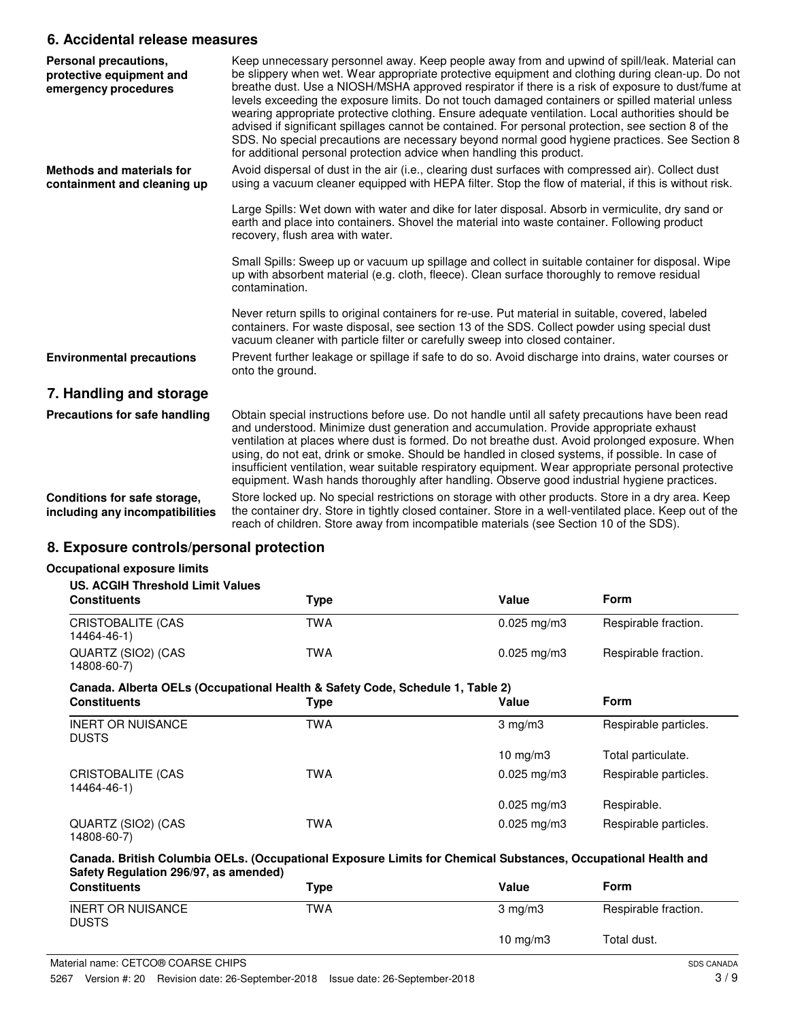## **6. Accidental release measures**

| Personal precautions,<br>protective equipment and<br>emergency procedures | Keep unnecessary personnel away. Keep people away from and upwind of spill/leak. Material can<br>be slippery when wet. Wear appropriate protective equipment and clothing during clean-up. Do not<br>breathe dust. Use a NIOSH/MSHA approved respirator if there is a risk of exposure to dust/fume at<br>levels exceeding the exposure limits. Do not touch damaged containers or spilled material unless<br>wearing appropriate protective clothing. Ensure adequate ventilation. Local authorities should be<br>advised if significant spillages cannot be contained. For personal protection, see section 8 of the<br>SDS. No special precautions are necessary beyond normal good hygiene practices. See Section 8<br>for additional personal protection advice when handling this product. |
|---------------------------------------------------------------------------|--------------------------------------------------------------------------------------------------------------------------------------------------------------------------------------------------------------------------------------------------------------------------------------------------------------------------------------------------------------------------------------------------------------------------------------------------------------------------------------------------------------------------------------------------------------------------------------------------------------------------------------------------------------------------------------------------------------------------------------------------------------------------------------------------|
| <b>Methods and materials for</b><br>containment and cleaning up           | Avoid dispersal of dust in the air (i.e., clearing dust surfaces with compressed air). Collect dust<br>using a vacuum cleaner equipped with HEPA filter. Stop the flow of material, if this is without risk.                                                                                                                                                                                                                                                                                                                                                                                                                                                                                                                                                                                     |
|                                                                           | Large Spills: Wet down with water and dike for later disposal. Absorb in vermiculite, dry sand or<br>earth and place into containers. Shovel the material into waste container. Following product<br>recovery, flush area with water.                                                                                                                                                                                                                                                                                                                                                                                                                                                                                                                                                            |
|                                                                           | Small Spills: Sweep up or vacuum up spillage and collect in suitable container for disposal. Wipe<br>up with absorbent material (e.g. cloth, fleece). Clean surface thoroughly to remove residual<br>contamination.                                                                                                                                                                                                                                                                                                                                                                                                                                                                                                                                                                              |
|                                                                           | Never return spills to original containers for re-use. Put material in suitable, covered, labeled<br>containers. For waste disposal, see section 13 of the SDS. Collect powder using special dust<br>vacuum cleaner with particle filter or carefully sweep into closed container.                                                                                                                                                                                                                                                                                                                                                                                                                                                                                                               |
| <b>Environmental precautions</b>                                          | Prevent further leakage or spillage if safe to do so. Avoid discharge into drains, water courses or<br>onto the ground.                                                                                                                                                                                                                                                                                                                                                                                                                                                                                                                                                                                                                                                                          |
| 7. Handling and storage                                                   |                                                                                                                                                                                                                                                                                                                                                                                                                                                                                                                                                                                                                                                                                                                                                                                                  |
| Precautions for safe handling                                             | Obtain special instructions before use. Do not handle until all safety precautions have been read<br>and understood. Minimize dust generation and accumulation. Provide appropriate exhaust<br>ventilation at places where dust is formed. Do not breathe dust. Avoid prolonged exposure. When<br>using, do not eat, drink or smoke. Should be handled in closed systems, if possible. In case of<br>insufficient ventilation, wear suitable respiratory equipment. Wear appropriate personal protective<br>equipment. Wash hands thoroughly after handling. Observe good industrial hygiene practices.                                                                                                                                                                                          |
| Conditions for safe storage,<br>including any incompatibilities           | Store locked up. No special restrictions on storage with other products. Store in a dry area. Keep<br>the container dry. Store in tightly closed container. Store in a well-ventilated place. Keep out of the<br>reach of children. Store away from incompatible materials (see Section 10 of the SDS).                                                                                                                                                                                                                                                                                                                                                                                                                                                                                          |
|                                                                           |                                                                                                                                                                                                                                                                                                                                                                                                                                                                                                                                                                                                                                                                                                                                                                                                  |

## **8. Exposure controls/personal protection**

## **Occupational exposure limits**

| US. ACGIH Threshold Limit Values<br><b>Constituents</b> | Type | Value                    | Form                 |
|---------------------------------------------------------|------|--------------------------|----------------------|
| CRISTOBALITE (CAS<br>14464-46-1)                        | TWA  | $0.025 \,\mathrm{mq/m3}$ | Respirable fraction. |
| QUARTZ (SIO2) (CAS<br>14808-60-7)                       | TWA  | $0.025 \,\mathrm{mq/m3}$ | Respirable fraction. |

## **Canada. Alberta OELs (Occupational Health & Safety Code, Schedule 1, Table 2)**

| <b>Constituents</b>                      | Type       | Value                  | <b>Form</b>           |
|------------------------------------------|------------|------------------------|-----------------------|
| <b>INERT OR NUISANCE</b><br><b>DUSTS</b> | TWA        | $3 \text{ mg/m}$       | Respirable particles. |
|                                          |            | $10 \text{ mg/m}$      | Total particulate.    |
| <b>CRISTOBALITE (CAS</b><br>14464-46-1)  | <b>TWA</b> | $0.025 \text{ mg/m}$ 3 | Respirable particles. |
|                                          |            | $0.025$ mg/m3          | Respirable.           |
| QUARTZ (SIO2) (CAS<br>14808-60-7)        | <b>TWA</b> | $0.025 \text{ mg/m}$ 3 | Respirable particles. |

## **Canada. British Columbia OELs. (Occupational Exposure Limits for Chemical Substances, Occupational Health and Safety Regulation 296/97, as amended)**

| <b>Constituents</b>                      | Type | Value            | <b>Form</b>          |
|------------------------------------------|------|------------------|----------------------|
| <b>INERT OR NUISANCE</b><br><b>DUSTS</b> | TWA  | $3 \text{ mg/m}$ | Respirable fraction. |
|                                          |      | 10 mg/m $3$      | Total dust.          |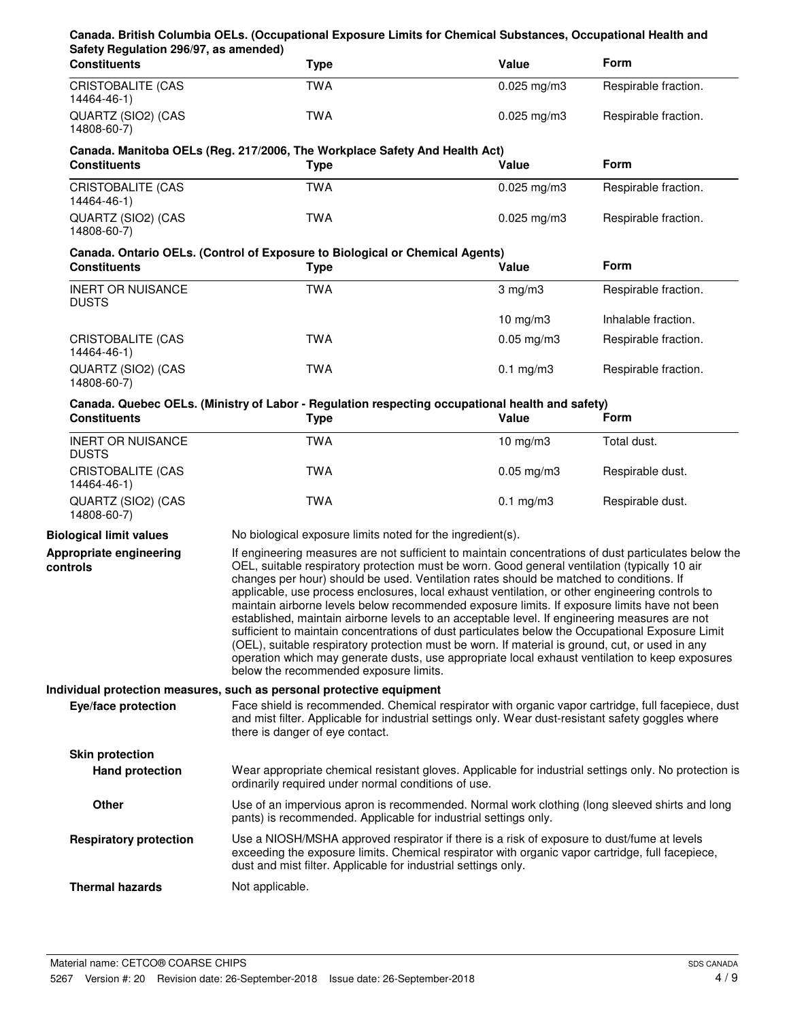## **Canada. British Columbia OELs. (Occupational Exposure Limits for Chemical Substances, Occupational Health and Safety Regulation 296/97, as amended)**

| <b>Constituents</b>               | Type | Value                    | Form                 |
|-----------------------------------|------|--------------------------|----------------------|
| CRISTOBALITE (CAS<br>14464-46-1)  | TWA  | $0.025 \text{ mg/m}$ 3   | Respirable fraction. |
| QUARTZ (SIO2) (CAS<br>14808-60-7) | TWA  | $0.025 \,\mathrm{mq/m3}$ | Respirable fraction. |

## **Canada. Manitoba OELs (Reg. 217/2006, The Workplace Safety And Health Act)**

| <b>Constituents</b>               | Type | Value                    | <b>Form</b>          |  |
|-----------------------------------|------|--------------------------|----------------------|--|
| CRISTOBALITE (CAS<br>14464-46-1)  | TWA  | $0.025 \,\mathrm{mq/m3}$ | Respirable fraction. |  |
| QUARTZ (SIO2) (CAS<br>14808-60-7) | TWA  | $0.025 \,\mathrm{mq/m3}$ | Respirable fraction. |  |

## **Canada. Ontario OELs. (Control of Exposure to Biological or Chemical Agents)**

| <b>Constituents</b>                      | Type | Value                   | <b>Form</b>          |
|------------------------------------------|------|-------------------------|----------------------|
| <b>INERT OR NUISANCE</b><br><b>DUSTS</b> | TWA  | $3 \text{ mg/m}$        | Respirable fraction. |
|                                          |      | $10 \text{ mg/m}$       | Inhalable fraction.  |
| <b>CRISTOBALITE (CAS</b><br>14464-46-1)  | TWA  | $0.05 \,\mathrm{mg/m3}$ | Respirable fraction. |
| QUARTZ (SIO2) (CAS<br>14808-60-7)        | TWA  | $0.1 \text{ mg/m}$ 3    | Respirable fraction. |

## **Canada. Quebec OELs. (Ministry of Labor - Regulation respecting occupational health and safety)**

| <b>Constituents</b>                      | Type | Value                   | Form             |  |
|------------------------------------------|------|-------------------------|------------------|--|
| <b>INERT OR NUISANCE</b><br><b>DUSTS</b> | TWA  | 10 $mq/m3$              | Total dust.      |  |
| CRISTOBALITE (CAS<br>14464-46-1)         | TWA  | $0.05 \,\mathrm{mg/m3}$ | Respirable dust. |  |
| QUARTZ (SIO2) (CAS<br>14808-60-7)        | TWA  | $0.1 \text{ mg/m}$ 3    | Respirable dust. |  |

**controls**

**Biological limit values** No biological exposure limits noted for the ingredient(s).

If engineering measures are not sufficient to maintain concentrations of dust particulates below the OEL, suitable respiratory protection must be worn. Good general ventilation (typically 10 air changes per hour) should be used. Ventilation rates should be matched to conditions. If applicable, use process enclosures, local exhaust ventilation, or other engineering controls to maintain airborne levels below recommended exposure limits. If exposure limits have not been established, maintain airborne levels to an acceptable level. If engineering measures are not sufficient to maintain concentrations of dust particulates below the Occupational Exposure Limit (OEL), suitable respiratory protection must be worn. If material is ground, cut, or used in any operation which may generate dusts, use appropriate local exhaust ventilation to keep exposures below the recommended exposure limits. **Appropriate engineering**

## **Individual protection measures, such as personal protective equipment**

Face shield is recommended. Chemical respirator with organic vapor cartridge, full facepiece, dust and mist filter. Applicable for industrial settings only. Wear dust-resistant safety goggles where there is danger of eye contact. **Eye/face protection Skin protection**

#### Wear appropriate chemical resistant gloves. Applicable for industrial settings only. No protection is ordinarily required under normal conditions of use. **Hand protection**

Use of an impervious apron is recommended. Normal work clothing (long sleeved shirts and long pants) is recommended. Applicable for industrial settings only. **Other**

#### Use a NIOSH/MSHA approved respirator if there is a risk of exposure to dust/fume at levels exceeding the exposure limits. Chemical respirator with organic vapor cartridge, full facepiece, dust and mist filter. Applicable for industrial settings only. **Respiratory protection**

**Thermal hazards** Not applicable.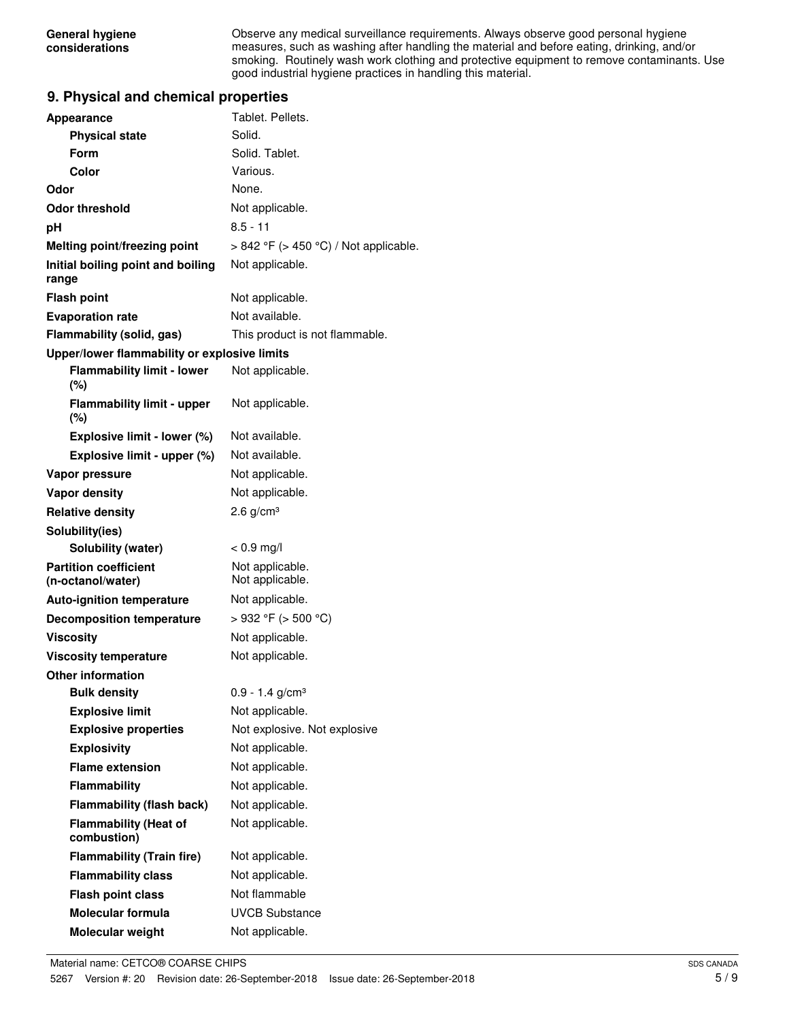Observe any medical surveillance requirements. Always observe good personal hygiene measures, such as washing after handling the material and before eating, drinking, and/or smoking. Routinely wash work clothing and protective equipment to remove contaminants. Use good industrial hygiene practices in handling this material.

## **9. Physical and chemical properties**

| <b>Appearance</b>                                 | Tablet. Pellets.                           |
|---------------------------------------------------|--------------------------------------------|
| <b>Physical state</b>                             | Solid.                                     |
| Form                                              | Solid. Tablet.                             |
| Color                                             | Various.                                   |
| Odor                                              | None.                                      |
| Odor threshold                                    | Not applicable.                            |
| рH                                                | $8.5 - 11$                                 |
| Melting point/freezing point                      | $> 842$ °F ( $> 450$ °C) / Not applicable. |
| Initial boiling point and boiling<br>range        | Not applicable.                            |
| <b>Flash point</b>                                | Not applicable.                            |
| <b>Evaporation rate</b>                           | Not available.                             |
| Flammability (solid, gas)                         | This product is not flammable.             |
| Upper/lower flammability or explosive limits      |                                            |
| <b>Flammability limit - lower</b><br>$(\%)$       | Not applicable.                            |
| <b>Flammability limit - upper</b><br>$(\% )$      | Not applicable.                            |
| Explosive limit - lower (%)                       | Not available.                             |
| Explosive limit - upper (%)                       | Not available.                             |
| Vapor pressure                                    | Not applicable.                            |
| <b>Vapor density</b>                              | Not applicable.                            |
| <b>Relative density</b>                           | $2.6$ g/cm <sup>3</sup>                    |
| Solubility(ies)                                   |                                            |
| Solubility (water)                                | $< 0.9$ mg/l                               |
| <b>Partition coefficient</b><br>(n-octanol/water) | Not applicable.<br>Not applicable.         |
| <b>Auto-ignition temperature</b>                  | Not applicable.                            |
| <b>Decomposition temperature</b>                  | >932 °F (> 500 °C)                         |
| <b>Viscosity</b>                                  | Not applicable.                            |
| <b>Viscosity temperature</b>                      | Not applicable.                            |
| <b>Other information</b>                          |                                            |
| <b>Bulk density</b>                               | $0.9 - 1.4$ g/cm <sup>3</sup>              |
| <b>Explosive limit</b>                            | Not applicable.                            |
| <b>Explosive properties</b>                       | Not explosive. Not explosive               |
| <b>Explosivity</b>                                | Not applicable.                            |
| <b>Flame extension</b>                            | Not applicable.                            |
| Flammability                                      | Not applicable.                            |
| <b>Flammability (flash back)</b>                  | Not applicable.                            |
| <b>Flammability (Heat of</b><br>combustion)       | Not applicable.                            |
| <b>Flammability (Train fire)</b>                  | Not applicable.                            |
| <b>Flammability class</b>                         | Not applicable.                            |
| <b>Flash point class</b>                          | Not flammable                              |
| <b>Molecular formula</b>                          | <b>UVCB Substance</b>                      |
| Molecular weight                                  | Not applicable.                            |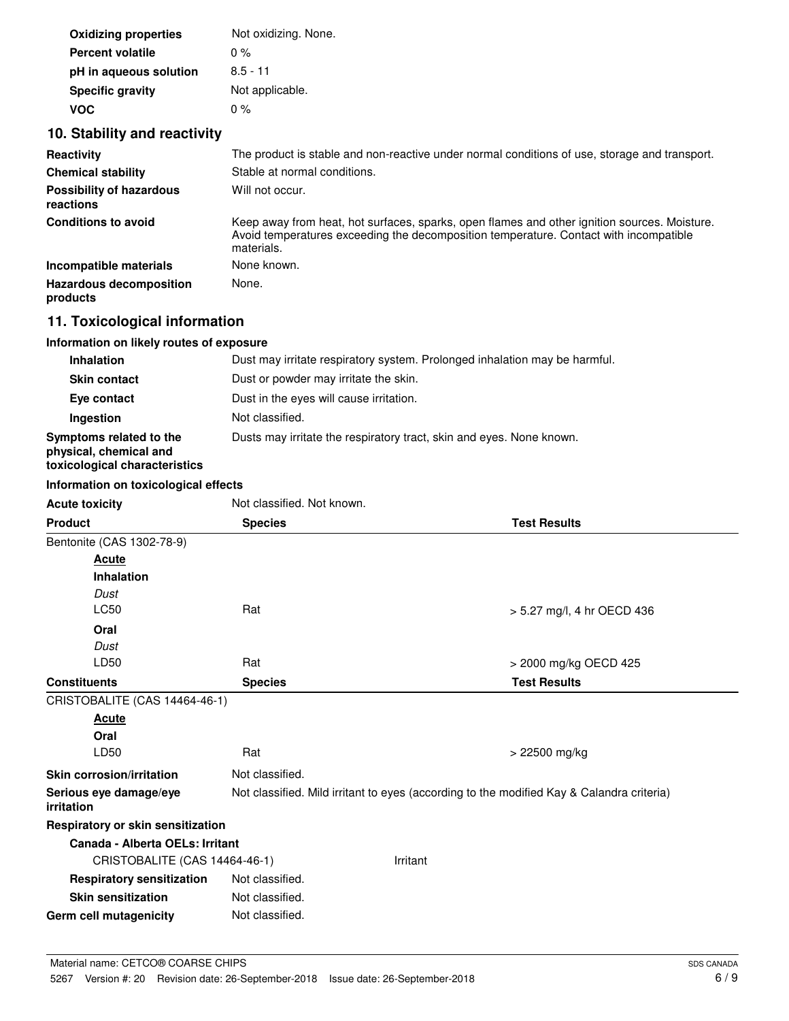| <b>Oxidizing properties</b> | Not oxidizing. None. |
|-----------------------------|----------------------|
| <b>Percent volatile</b>     | $0\%$                |
| pH in aqueous solution      | $8.5 - 11$           |
| <b>Specific gravity</b>     | Not applicable.      |
| VOC.                        | $0\%$                |

## **10. Stability and reactivity**

| Reactivity                                   | The product is stable and non-reactive under normal conditions of use, storage and transport.                                                                                                       |
|----------------------------------------------|-----------------------------------------------------------------------------------------------------------------------------------------------------------------------------------------------------|
| <b>Chemical stability</b>                    | Stable at normal conditions.                                                                                                                                                                        |
| <b>Possibility of hazardous</b><br>reactions | Will not occur.                                                                                                                                                                                     |
| <b>Conditions to avoid</b>                   | Keep away from heat, hot surfaces, sparks, open flames and other ignition sources. Moisture.<br>Avoid temperatures exceeding the decomposition temperature. Contact with incompatible<br>materials. |
| Incompatible materials                       | None known.                                                                                                                                                                                         |
| <b>Hazardous decomposition</b><br>products   | None.                                                                                                                                                                                               |

## **11. Toxicological information**

## **Information on likely routes of exposure**

| <b>Inhalation</b>                                                                  | Dust may irritate respiratory system. Prolonged inhalation may be harmful. |
|------------------------------------------------------------------------------------|----------------------------------------------------------------------------|
| <b>Skin contact</b>                                                                | Dust or powder may irritate the skin.                                      |
| Eye contact                                                                        | Dust in the eyes will cause irritation.                                    |
| Ingestion                                                                          | Not classified.                                                            |
| Symptoms related to the<br>physical, chemical and<br>toxicological characteristics | Dusts may irritate the respiratory tract, skin and eyes. None known.       |

## **Information on toxicological effects**

| <b>Acute toxicity</b>                | Not classified. Not known.                                                                |          |                            |
|--------------------------------------|-------------------------------------------------------------------------------------------|----------|----------------------------|
| <b>Product</b>                       | <b>Species</b>                                                                            |          | <b>Test Results</b>        |
| Bentonite (CAS 1302-78-9)            |                                                                                           |          |                            |
| Acute                                |                                                                                           |          |                            |
| <b>Inhalation</b>                    |                                                                                           |          |                            |
| Dust                                 |                                                                                           |          |                            |
| <b>LC50</b>                          | Rat                                                                                       |          | > 5.27 mg/l, 4 hr OECD 436 |
| Oral                                 |                                                                                           |          |                            |
| Dust                                 |                                                                                           |          |                            |
| LD50                                 | Rat                                                                                       |          | > 2000 mg/kg OECD 425      |
| <b>Constituents</b>                  | <b>Species</b>                                                                            |          | <b>Test Results</b>        |
| CRISTOBALITE (CAS 14464-46-1)        |                                                                                           |          |                            |
| <b>Acute</b>                         |                                                                                           |          |                            |
| Oral                                 |                                                                                           |          |                            |
| LD50                                 | Rat                                                                                       |          | > 22500 mg/kg              |
| <b>Skin corrosion/irritation</b>     | Not classified.                                                                           |          |                            |
| Serious eye damage/eye<br>irritation | Not classified. Mild irritant to eyes (according to the modified Kay & Calandra criteria) |          |                            |
| Respiratory or skin sensitization    |                                                                                           |          |                            |
| Canada - Alberta OELs: Irritant      |                                                                                           |          |                            |
| CRISTOBALITE (CAS 14464-46-1)        |                                                                                           | Irritant |                            |
| <b>Respiratory sensitization</b>     | Not classified.                                                                           |          |                            |
| <b>Skin sensitization</b>            | Not classified.                                                                           |          |                            |
| Germ cell mutagenicity               | Not classified.                                                                           |          |                            |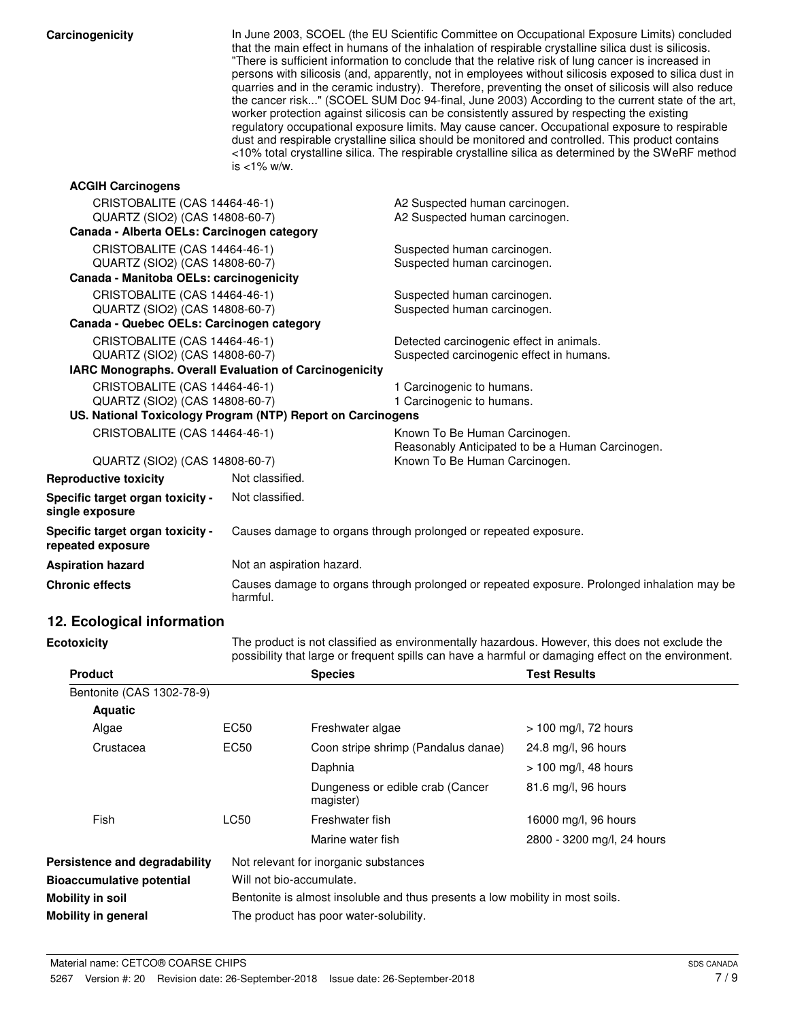Carcinogenicity **In June 2003, SCOEL** (the EU Scientific Committee on Occupational Exposure Limits) concluded that the main effect in humans of the inhalation of respirable crystalline silica dust is silicosis. "There is sufficient information to conclude that the relative risk of lung cancer is increased in persons with silicosis (and, apparently, not in employees without silicosis exposed to silica dust in quarries and in the ceramic industry). Therefore, preventing the onset of silicosis will also reduce the cancer risk..." (SCOEL SUM Doc 94-final, June 2003) According to the current state of the art, worker protection against silicosis can be consistently assured by respecting the existing regulatory occupational exposure limits. May cause cancer. Occupational exposure to respirable dust and respirable crystalline silica should be monitored and controlled. This product contains <10% total crystalline silica. The respirable crystalline silica as determined by the SWeRF method is <1% w/w.

| <b>ACGIH Carcinogens</b>                              |                                                               |                                                                                             |
|-------------------------------------------------------|---------------------------------------------------------------|---------------------------------------------------------------------------------------------|
| CRISTOBALITE (CAS 14464-46-1)                         |                                                               | A2 Suspected human carcinogen.                                                              |
| QUARTZ (SIO2) (CAS 14808-60-7)                        |                                                               | A2 Suspected human carcinogen.                                                              |
| Canada - Alberta OELs: Carcinogen category            |                                                               |                                                                                             |
| CRISTOBALITE (CAS 14464-46-1)                         |                                                               | Suspected human carcinogen.                                                                 |
| QUARTZ (SIO2) (CAS 14808-60-7)                        |                                                               | Suspected human carcinogen.                                                                 |
| Canada - Manitoba OELs: carcinogenicity               |                                                               |                                                                                             |
| CRISTOBALITE (CAS 14464-46-1)                         |                                                               | Suspected human carcinogen.                                                                 |
| QUARTZ (SIO2) (CAS 14808-60-7)                        |                                                               | Suspected human carcinogen.                                                                 |
| Canada - Quebec OELs: Carcinogen category             |                                                               |                                                                                             |
| CRISTOBALITE (CAS 14464-46-1)                         |                                                               | Detected carcinogenic effect in animals.                                                    |
| QUARTZ (SIO2) (CAS 14808-60-7)                        |                                                               | Suspected carcinogenic effect in humans.                                                    |
|                                                       | <b>IARC Monographs. Overall Evaluation of Carcinogenicity</b> |                                                                                             |
| CRISTOBALITE (CAS 14464-46-1)                         |                                                               | 1 Carcinogenic to humans.                                                                   |
| QUARTZ (SIO2) (CAS 14808-60-7)                        |                                                               | 1 Carcinogenic to humans.                                                                   |
|                                                       | US. National Toxicology Program (NTP) Report on Carcinogens   |                                                                                             |
| CRISTOBALITE (CAS 14464-46-1)                         |                                                               | Known To Be Human Carcinogen.                                                               |
|                                                       |                                                               | Reasonably Anticipated to be a Human Carcinogen.                                            |
| QUARTZ (SIO2) (CAS 14808-60-7)                        |                                                               | Known To Be Human Carcinogen.                                                               |
| <b>Reproductive toxicity</b>                          | Not classified.                                               |                                                                                             |
| Specific target organ toxicity -<br>single exposure   | Not classified.                                               |                                                                                             |
| Specific target organ toxicity -<br>repeated exposure |                                                               | Causes damage to organs through prolonged or repeated exposure.                             |
| <b>Aspiration hazard</b>                              | Not an aspiration hazard.                                     |                                                                                             |
| <b>Chronic effects</b>                                | harmful.                                                      | Causes damage to organs through prolonged or repeated exposure. Prolonged inhalation may be |

## **12. Ecological information**

**Ecotoxicity**

The product is not classified as environmentally hazardous. However, this does not exclude the possibility that large or frequent spills can have a harmful or damaging effect on the environment.

| <b>Product</b>                   |                                        | <b>Species</b>                                                                | <b>Test Results</b>        |  |
|----------------------------------|----------------------------------------|-------------------------------------------------------------------------------|----------------------------|--|
| Bentonite (CAS 1302-78-9)        |                                        |                                                                               |                            |  |
| <b>Aquatic</b>                   |                                        |                                                                               |                            |  |
| Algae                            | EC50                                   | Freshwater algae                                                              | > 100 mg/l, 72 hours       |  |
| Crustacea                        | EC50                                   | Coon stripe shrimp (Pandalus danae)                                           | 24.8 mg/l, 96 hours        |  |
|                                  |                                        | Daphnia                                                                       | $> 100$ mg/l, 48 hours     |  |
|                                  |                                        | Dungeness or edible crab (Cancer<br>magister)                                 | 81.6 mg/l, 96 hours        |  |
| Fish                             | <b>LC50</b>                            | Freshwater fish                                                               | 16000 mg/l, 96 hours       |  |
|                                  |                                        | Marine water fish                                                             | 2800 - 3200 mg/l, 24 hours |  |
| Persistence and degradability    |                                        | Not relevant for inorganic substances                                         |                            |  |
| <b>Bioaccumulative potential</b> | Will not bio-accumulate.               |                                                                               |                            |  |
| Mobility in soil                 |                                        | Bentonite is almost insoluble and thus presents a low mobility in most soils. |                            |  |
| Mobility in general              | The product has poor water-solubility. |                                                                               |                            |  |
|                                  |                                        |                                                                               |                            |  |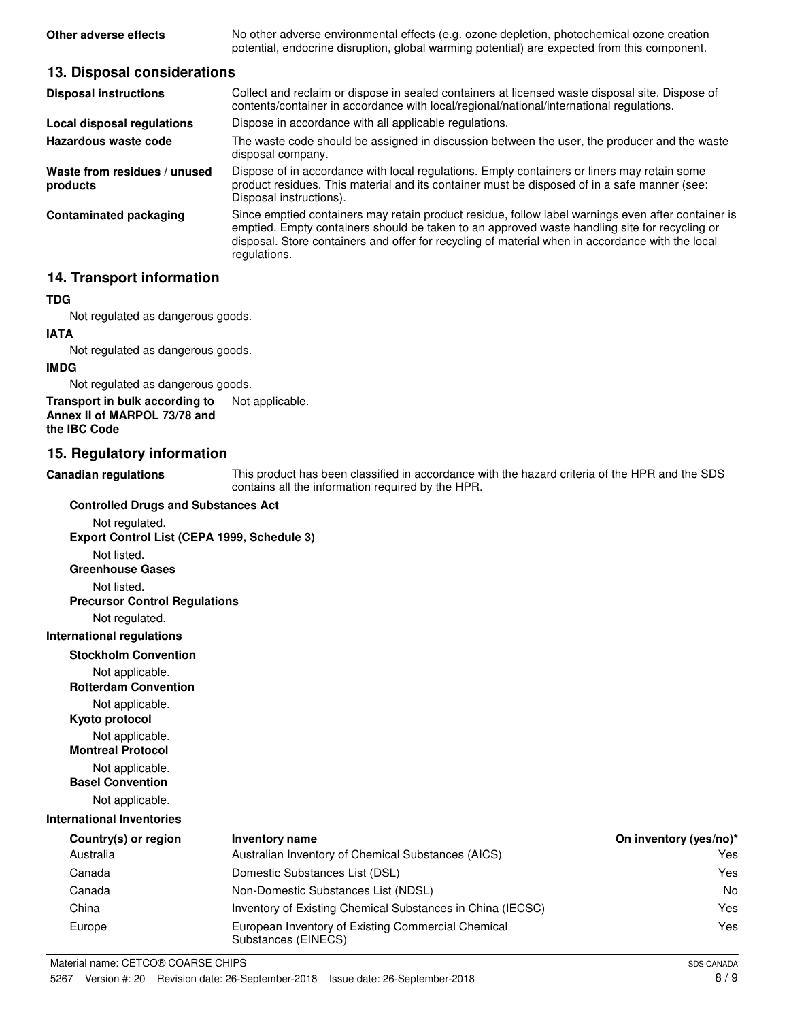**Other adverse effects** No other adverse environmental effects (e.g. ozone depletion, photochemical ozone creation potential, endocrine disruption, global warming potential) are expected from this component.

## **13. Disposal considerations**

| <b>Disposal instructions</b>             | Collect and reclaim or dispose in sealed containers at licensed waste disposal site. Dispose of<br>contents/container in accordance with local/regional/national/international regulations.                                                                                                                             |
|------------------------------------------|-------------------------------------------------------------------------------------------------------------------------------------------------------------------------------------------------------------------------------------------------------------------------------------------------------------------------|
| Local disposal regulations               | Dispose in accordance with all applicable regulations.                                                                                                                                                                                                                                                                  |
| Hazardous waste code                     | The waste code should be assigned in discussion between the user, the producer and the waste<br>disposal company.                                                                                                                                                                                                       |
| Waste from residues / unused<br>products | Dispose of in accordance with local regulations. Empty containers or liners may retain some<br>product residues. This material and its container must be disposed of in a safe manner (see:<br>Disposal instructions).                                                                                                  |
| <b>Contaminated packaging</b>            | Since emptied containers may retain product residue, follow label warnings even after container is<br>emptied. Empty containers should be taken to an approved waste handling site for recycling or<br>disposal. Store containers and offer for recycling of material when in accordance with the local<br>regulations. |

## **14. Transport information**

## **TDG**

Not regulated as dangerous goods.

### **IATA**

Not regulated as dangerous goods.

### **IMDG**

Not regulated as dangerous goods.

### **Transport in bulk according to** Not applicable. **Annex II of MARPOL 73/78 and the IBC Code**

## **15. Regulatory information**

**Canadian regulations**

This product has been classified in accordance with the hazard criteria of the HPR and the SDS contains all the information required by the HPR.

### **Controlled Drugs and Substances Act**

Not regulated. **Export Control List (CEPA 1999, Schedule 3)**

Not listed.

**Greenhouse Gases**

Not listed.

**Precursor Control Regulations**

Not regulated.

## **International regulations**

### **Stockholm Convention**

Not applicable.

**Rotterdam Convention**

Not applicable.

**Kyoto protocol**

Not applicable.

**Montreal Protocol**

Not applicable.

**Basel Convention**

Not applicable.

## **International Inventories**

| Country(s) or region | Inventory name                                                            | On inventory (yes/no)* |
|----------------------|---------------------------------------------------------------------------|------------------------|
| Australia            | Australian Inventory of Chemical Substances (AICS)                        | Yes                    |
| Canada               | Domestic Substances List (DSL)                                            | Yes                    |
| Canada               | Non-Domestic Substances List (NDSL)                                       | No                     |
| China                | Inventory of Existing Chemical Substances in China (IECSC)                | Yes                    |
| Europe               | European Inventory of Existing Commercial Chemical<br>Substances (EINECS) | Yes                    |